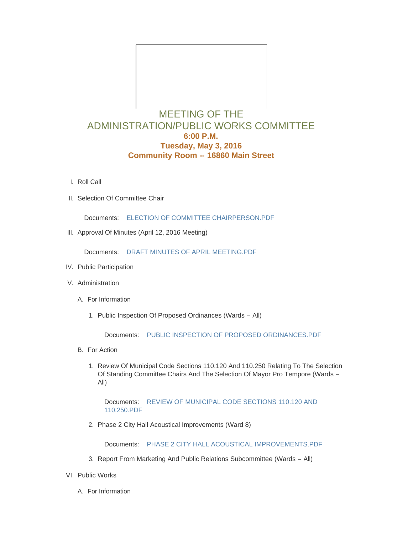

## ADMINISTRATION/PUBLIC WORKS COMMITTEE **6:00 P.M. Tuesday, May 3, 2016 Community Room -- 16860 Main Street**

- l. Roll Call
- II. Selection Of Committee Chair

Documents: [ELECTION OF COMMITTEE CHAIRPERSON.PDF](http://mo-wildwood.civicplus.com/AgendaCenter/ViewFile/Item/6803?fileID=10587)

III. Approval Of Minutes (April 12, 2016 Meeting)

Documents: [DRAFT MINUTES OF APRIL MEETING.PDF](http://mo-wildwood.civicplus.com/AgendaCenter/ViewFile/Item/6804?fileID=10588)

- IV. Public Participation
- V. Administration
	- A. For Information
		- 1. Public Inspection Of Proposed Ordinances (Wards All)

Documents: [PUBLIC INSPECTION OF PROPOSED ORDINANCES.PDF](http://mo-wildwood.civicplus.com/AgendaCenter/ViewFile/Item/6808?fileID=10589)

- B. For Action
	- 1. Review Of Municipal Code Sections 110.120 And 110.250 Relating To The Selection Of Standing Committee Chairs And The Selection Of Mayor Pro Tempore (Wards – All)

Documents: REVIEW OF MUNICIPAL CODE SECTIONS 110.120 AND 110.250.PDF

2. Phase 2 City Hall Acoustical Improvements (Ward 8)

Documents: [PHASE 2 CITY HALL ACOUSTICAL IMPROVEMENTS.PDF](http://mo-wildwood.civicplus.com/AgendaCenter/ViewFile/Item/6811?fileID=10591)

- 3. Report From Marketing And Public Relations Subcommittee (Wards All)
- VI. Public Works
	- A. For Information